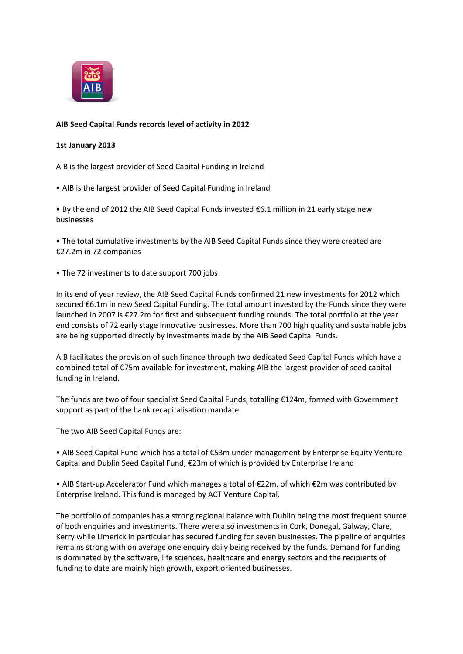

## **AIB Seed Capital Funds records level of activity in 2012**

## **1st January 2013**

AIB is the largest provider of Seed Capital Funding in Ireland

• AIB is the largest provider of Seed Capital Funding in Ireland

• By the end of 2012 the AIB Seed Capital Funds invested €6.1 million in 21 early stage new businesses

• The total cumulative investments by the AIB Seed Capital Funds since they were created are €27.2m in 72 companies

• The 72 investments to date support 700 jobs

In its end of year review, the AIB Seed Capital Funds confirmed 21 new investments for 2012 which secured €6.1m in new Seed Capital Funding. The total amount invested by the Funds since they were launched in 2007 is €27.2m for first and subsequent funding rounds. The total portfolio at the year end consists of 72 early stage innovative businesses. More than 700 high quality and sustainable jobs are being supported directly by investments made by the AIB Seed Capital Funds.

AIB facilitates the provision of such finance through two dedicated Seed Capital Funds which have a combined total of €75m available for investment, making AIB the largest provider of seed capital funding in Ireland.

The funds are two of four specialist Seed Capital Funds, totalling €124m, formed with Government support as part of the bank recapitalisation mandate.

The two AIB Seed Capital Funds are:

• AIB Seed Capital Fund which has a total of €53m under management by Enterprise Equity Venture Capital and Dublin Seed Capital Fund, €23m of which is provided by Enterprise Ireland

• AIB Start-up Accelerator Fund which manages a total of €22m, of which €2m was contributed by Enterprise Ireland. This fund is managed by ACT Venture Capital.

The portfolio of companies has a strong regional balance with Dublin being the most frequent source of both enquiries and investments. There were also investments in Cork, Donegal, Galway, Clare, Kerry while Limerick in particular has secured funding for seven businesses. The pipeline of enquiries remains strong with on average one enquiry daily being received by the funds. Demand for funding is dominated by the software, life sciences, healthcare and energy sectors and the recipients of funding to date are mainly high growth, export oriented businesses.